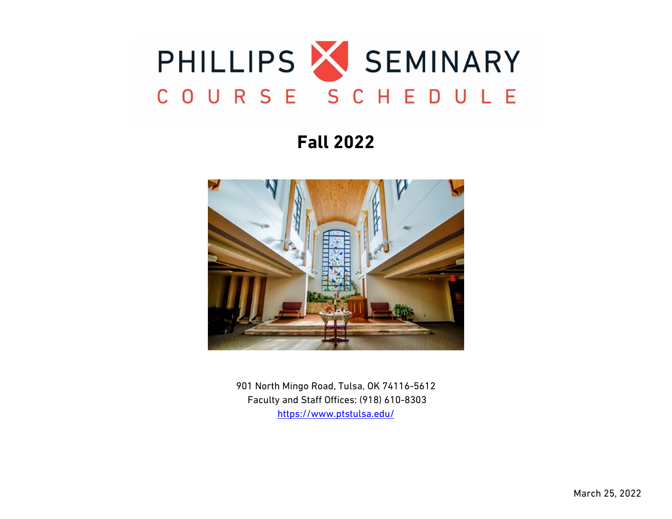

# **Fall 2022**



901 North Mingo Road, Tulsa, OK 74116-5612 Faculty and Staff Offices: (918) 610-8303 <https://www.ptstulsa.edu/>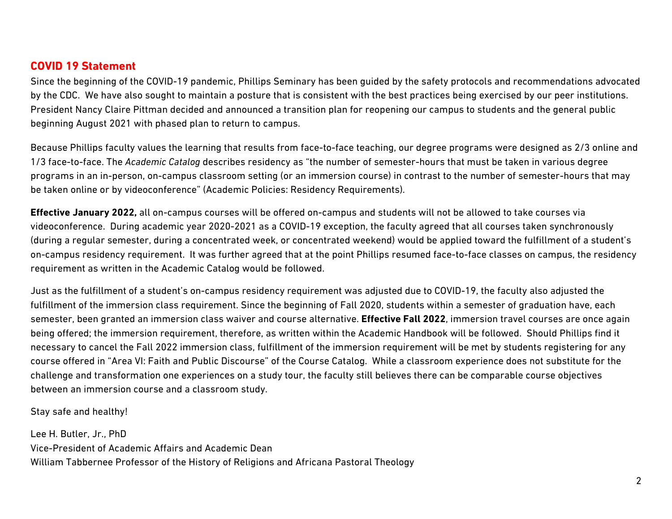### **COVID 19 Statement**

Since the beginning of the COVID-19 pandemic, Phillips Seminary has been guided by the safety protocols and recommendations advocated by the CDC. We have also sought to maintain a posture that is consistent with the best practices being exercised by our peer institutions. President Nancy Claire Pittman decided and announced a transition plan for reopening our campus to students and the general public beginning August 2021 with phased plan to return to campus.

Because Phillips faculty values the learning that results from face-to-face teaching, our degree programs were designed as 2/3 online and 1/3 face-to-face. The *Academic Catalog* describes residency as "the number of semester-hours that must be taken in various degree programs in an in-person, on-campus classroom setting (or an immersion course) in contrast to the number of semester-hours that may be taken online or by videoconference" (Academic Policies: Residency Requirements).

**Effective January 2022,** all on-campus courses will be offered on-campus and students will not be allowed to take courses via videoconference. During academic year 2020-2021 as a COVID-19 exception, the faculty agreed that all courses taken synchronously (during a regular semester, during a concentrated week, or concentrated weekend) would be applied toward the fulfillment of a student's on-campus residency requirement. It was further agreed that at the point Phillips resumed face-to-face classes on campus, the residency requirement as written in the Academic Catalog would be followed.

Just as the fulfillment of a student's on-campus residency requirement was adjusted due to COVID-19, the faculty also adjusted the fulfillment of the immersion class requirement. Since the beginning of Fall 2020, students within a semester of graduation have, each semester, been granted an immersion class waiver and course alternative. **Effective Fall 2022**, immersion travel courses are once again being offered; the immersion requirement, therefore, as written within the Academic Handbook will be followed. Should Phillips find it necessary to cancel the Fall 2022 immersion class, fulfillment of the immersion requirement will be met by students registering for any course offered in "Area VI: Faith and Public Discourse" of the Course Catalog. While a classroom experience does not substitute for the challenge and transformation one experiences on a study tour, the faculty still believes there can be comparable course objectives between an immersion course and a classroom study.

Stay safe and healthy!

Lee H. Butler, Jr., PhD Vice-President of Academic Affairs and Academic Dean William Tabbernee Professor of the History of Religions and Africana Pastoral Theology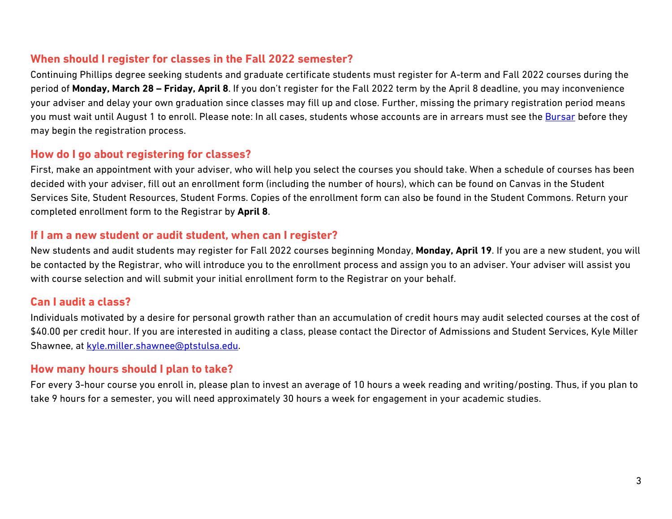### **When should I register for classes in the Fall 2022 semester?**

Continuing Phillips degree seeking students and graduate certificate students must register for A-term and Fall 2022 courses during the period of **Monday, March 28 – Friday, April 8**. If you don't register for the Fall 2022 term by the April 8 deadline, you may inconvenience your adviser and delay your own graduation since classes may fill up and close. Further, missing the primary registration period means you must wait until August 1 to enroll. Please note: In all cases, students whose accounts are in arrears must see the **Bursar** before they may begin the registration process.

### **How do I go about registering for classes?**

First, make an appointment with your adviser, who will help you select the courses you should take. When a schedule of courses has been decided with your adviser, fill out an enrollment form (including the number of hours), which can be found on Canvas in the Student Services Site, Student Resources, Student Forms. Copies of the enrollment form can also be found in the Student Commons. Return your completed enrollment form to the Registrar by **April 8**.

### **If I am a new student or audit student, when can I register?**

New students and audit students may register for Fall 2022 courses beginning Monday, **Monday, April 19**. If you are a new student, you will be contacted by the Registrar, who will introduce you to the enrollment process and assign you to an adviser. Your adviser will assist you with course selection and will submit your initial enrollment form to the Registrar on your behalf.

## **Can I audit a class?**

Individuals motivated by a desire for personal growth rather than an accumulation of credit hours may audit selected courses at the cost of \$40.00 per credit hour. If you are interested in auditing a class, please contact the Director of Admissions and Student Services, Kyle Miller Shawnee, at [kyle.miller.shawnee@ptstulsa.edu.](mailto:kyle.miller.shawnee@ptstulsa.edu)

## **How many hours should I plan to take?**

For every 3-hour course you enroll in, please plan to invest an average of 10 hours a week reading and writing/posting. Thus, if you plan to take 9 hours for a semester, you will need approximately 30 hours a week for engagement in your academic studies.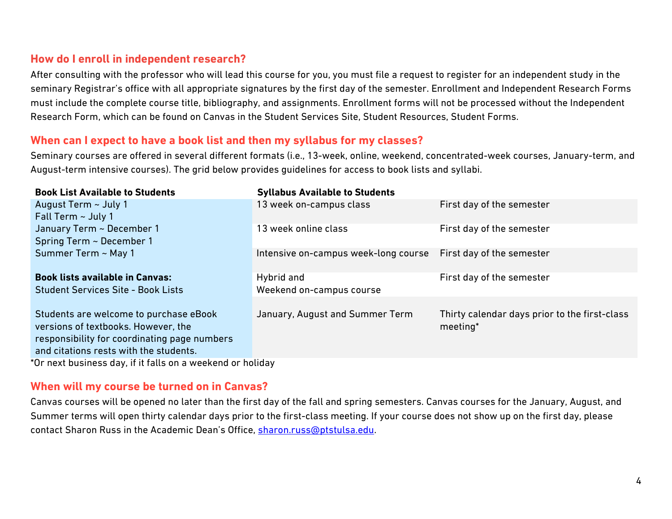## **How do I enroll in independent research?**

After consulting with the professor who will lead this course for you, you must file a request to register for an independent study in the seminary Registrar's office with all appropriate signatures by the first day of the semester. Enrollment and Independent Research Forms must include the complete course title, bibliography, and assignments. Enrollment forms will not be processed without the Independent Research Form, which can be found on Canvas in the Student Services Site, Student Resources, Student Forms.

### **When can I expect to have a book list and then my syllabus for my classes?**

Seminary courses are offered in several different formats (i.e., 13-week, online, weekend, concentrated-week courses, January-term, and August-term intensive courses). The grid below provides guidelines for access to book lists and syllabi.

| <b>Book List Available to Students</b>                     | <b>Syllabus Available to Students</b> |                                               |  |
|------------------------------------------------------------|---------------------------------------|-----------------------------------------------|--|
| August Term ~ July 1                                       | 13 week on-campus class               | First day of the semester                     |  |
| Fall Term $\sim$ July 1                                    |                                       |                                               |  |
| January Term ~ December 1                                  | 13 week online class                  | First day of the semester                     |  |
| Spring Term ~ December 1                                   |                                       |                                               |  |
| Summer Term ~ May 1                                        | Intensive on-campus week-long course  | First day of the semester                     |  |
|                                                            |                                       |                                               |  |
| <b>Book lists available in Canvas:</b>                     | Hybrid and                            | First day of the semester                     |  |
| <b>Student Services Site - Book Lists</b>                  | Weekend on-campus course              |                                               |  |
|                                                            |                                       |                                               |  |
| Students are welcome to purchase eBook                     | January, August and Summer Term       | Thirty calendar days prior to the first-class |  |
| versions of textbooks. However, the                        |                                       | meeting*                                      |  |
| responsibility for coordinating page numbers               |                                       |                                               |  |
| and citations rests with the students.                     |                                       |                                               |  |
| *Or next business day, if it falls on a weekend or holiday |                                       |                                               |  |

#### **When will my course be turned on in Canvas?**

Canvas courses will be opened no later than the first day of the fall and spring semesters. Canvas courses for the January, August, and Summer terms will open thirty calendar days prior to the first-class meeting. If your course does not show up on the first day, please contact Sharon Russ in the Academic Dean's Office, [sharon.russ@ptstulsa.edu.](mailto:sharon.russ@ptstulsa.edu)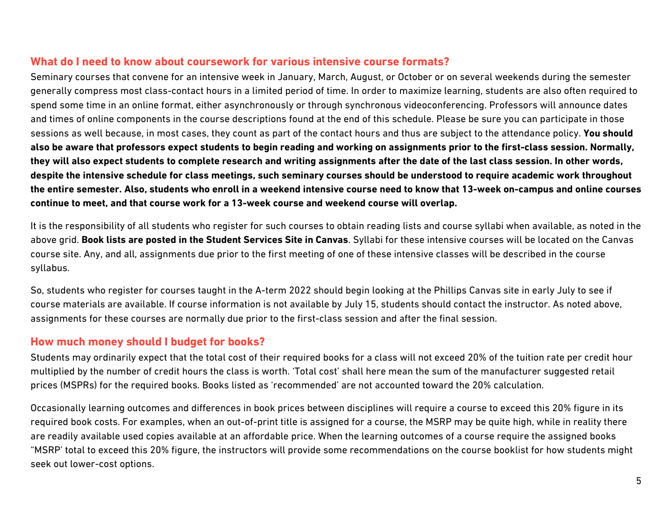### **What do I need to know about coursework for various intensive course formats?**

Seminary courses that convene for an intensive week in January, March, August, or October or on several weekends during the semester generally compress most class-contact hours in a limited period of time. In order to maximize learning, students are also often required to spend some time in an online format, either asynchronously or through synchronous videoconferencing. Professors will announce dates and times of online components in the course descriptions found at the end of this schedule. Please be sure you can participate in those sessions as well because, in most cases, they count as part of the contact hours and thus are subject to the attendance policy. **You should also be aware that professors expect students to begin reading and working on assignments prior to the first-class session. Normally, they will also expect students to complete research and writing assignments after the date of the last class session. In other words, despite the intensive schedule for class meetings, such seminary courses should be understood to require academic work throughout the entire semester. Also, students who enroll in a weekend intensive course need to know that 13-week on-campus and online courses continue to meet, and that course work for a 13-week course and weekend course will overlap.** 

It is the responsibility of all students who register for such courses to obtain reading lists and course syllabi when available, as noted in the above grid. **Book lists are posted in the Student Services Site in Canvas**. Syllabi for these intensive courses will be located on the Canvas course site. Any, and all, assignments due prior to the first meeting of one of these intensive classes will be described in the course syllabus.

So, students who register for courses taught in the A-term 2022 should begin looking at the Phillips Canvas site in early July to see if course materials are available. If course information is not available by July 15, students should contact the instructor. As noted above, assignments for these courses are normally due prior to the first-class session and after the final session.

## **How much money should I budget for books?**

Students may ordinarily expect that the total cost of their required books for a class will not exceed 20% of the tuition rate per credit hour multiplied by the number of credit hours the class is worth. 'Total cost' shall here mean the sum of the manufacturer suggested retail prices (MSPRs) for the required books. Books listed as 'recommended' are not accounted toward the 20% calculation.

Occasionally learning outcomes and differences in book prices between disciplines will require a course to exceed this 20% figure in its required book costs. For examples, when an out-of-print title is assigned for a course, the MSRP may be quite high, while in reality there are readily available used copies available at an affordable price. When the learning outcomes of a course require the assigned books "MSRP' total to exceed this 20% figure, the instructors will provide some recommendations on the course booklist for how students might seek out lower-cost options.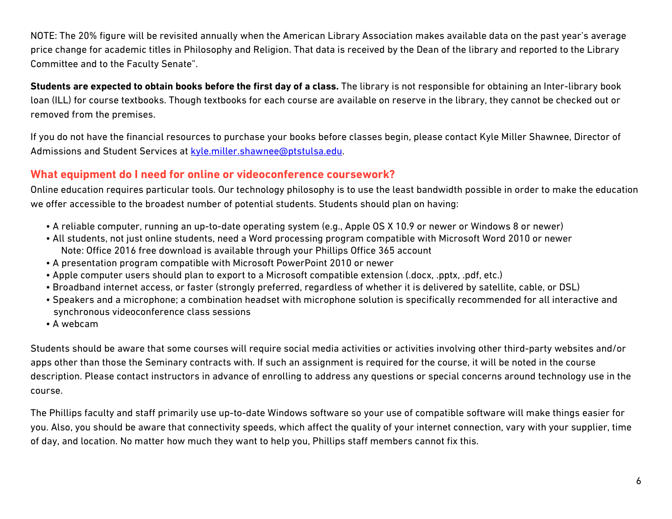NOTE: The 20% figure will be revisited annually when the American Library Association makes available data on the past year's average price change for academic titles in Philosophy and Religion. That data is received by the Dean of the library and reported to the Library Committee and to the Faculty Senate".

**Students are expected to obtain books before the first day of a class.** The library is not responsible for obtaining an Inter-library book loan (ILL) for course textbooks. Though textbooks for each course are available on reserve in the library, they cannot be checked out or removed from the premises.

If you do not have the financial resources to purchase your books before classes begin, please contact Kyle Miller Shawnee, Director of Admissions and Student Services at [kyle.miller.shawnee@ptstulsa.edu.](mailto:kyle.miller.shawnee@ptstulsa.edu)

## **What equipment do I need for online or videoconference coursework?**

Online education requires particular tools. Our technology philosophy is to use the least bandwidth possible in order to make the education we offer accessible to the broadest number of potential students. Students should plan on having:

- A reliable computer, running an up-to-date operating system (e.g., Apple OS X 10.9 or newer or Windows 8 or newer)
- All students, not just online students, need a Word processing program compatible with Microsoft Word 2010 or newer Note: Office 2016 free download is available through your Phillips Office 365 account
- A presentation program compatible with Microsoft PowerPoint 2010 or newer
- Apple computer users should plan to export to a Microsoft compatible extension (.docx, .pptx, .pdf, etc.)
- Broadband internet access, or faster (strongly preferred, regardless of whether it is delivered by satellite, cable, or DSL)
- Speakers and a microphone; a combination headset with microphone solution is specifically recommended for all interactive and synchronous videoconference class sessions
- A webcam

Students should be aware that some courses will require social media activities or activities involving other third-party websites and/or apps other than those the Seminary contracts with. If such an assignment is required for the course, it will be noted in the course description. Please contact instructors in advance of enrolling to address any questions or special concerns around technology use in the course.

The Phillips faculty and staff primarily use up-to-date Windows software so your use of compatible software will make things easier for you. Also, you should be aware that connectivity speeds, which affect the quality of your internet connection, vary with your supplier, time of day, and location. No matter how much they want to help you, Phillips staff members cannot fix this.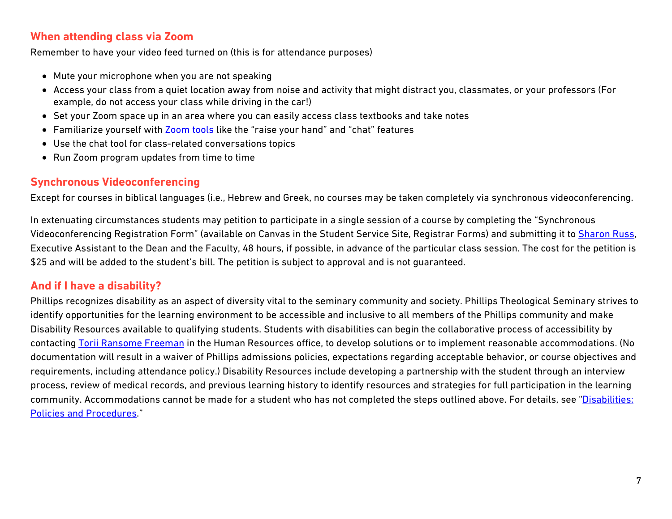### **When attending class via Zoom**

Remember to have your video feed turned on (this is for attendance purposes)

- Mute your microphone when you are not speaking
- Access your class from a quiet location away from noise and activity that might distract you, classmates, or your professors (For example, do not access your class while driving in the car!)
- Set your Zoom space up in an area where you can easily access class textbooks and take notes
- Familiarize yourself with [Zoom tools](https://www.youtube.com/watch?v=MK80ovbnvj4) like the "raise your hand" and "chat" features
- Use the chat tool for class-related conversations topics
- Run Zoom program updates from time to time

## **Synchronous Videoconferencing**

Except for courses in biblical languages (i.e., Hebrew and Greek, no courses may be taken completely via synchronous videoconferencing.

In extenuating circumstances students may petition to participate in a single session of a course by completing the "Synchronous Videoconferencing Registration Form" (available on Canvas in the Student Service Site, Registrar Forms) and submitting it to [Sharon Russ,](mailto:sharon.russ@ptstulsa.edu) Executive Assistant to the Dean and the Faculty, 48 hours, if possible, in advance of the particular class session. The cost for the petition is \$25 and will be added to the student's bill. The petition is subject to approval and is not quaranteed.

## **And if I have a disability?**

Phillips recognizes disability as an aspect of diversity vital to the seminary community and society. Phillips Theological Seminary strives to identify opportunities for the learning environment to be accessible and inclusive to all members of the Phillips community and make Disability Resources available to qualifying students. Students with disabilities can begin the collaborative process of accessibility by contacting [Torii Ransome Freeman](mailto:torii.freeman@ptstulsa.edu) in the Human Resources office, to develop solutions or to implement reasonable accommodations. (No documentation will result in a waiver of Phillips admissions policies, expectations regarding acceptable behavior, or course objectives and requirements, including attendance policy.) Disability Resources include developing a partnership with the student through an interview process, review of medical records, and previous learning history to identify resources and strategies for full participation in the learning community. Accommodations cannot be made for a student who has not completed the steps outlined above. For details, see "Disabilities: [Policies and Procedures.](https://www.ptstulsa.edu/current-students/academic-resources/)"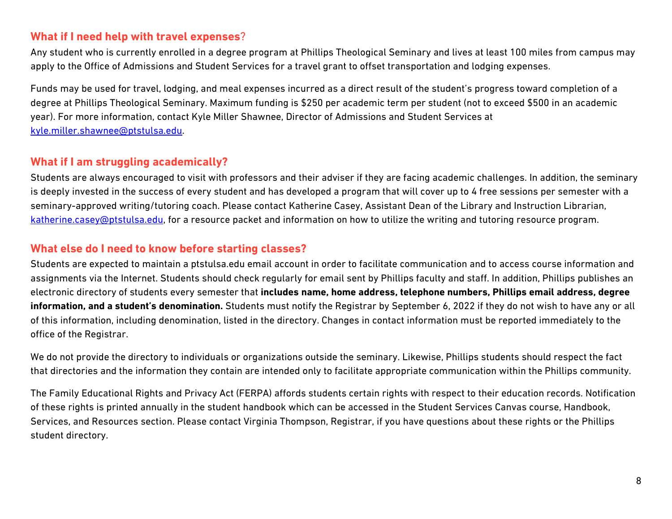### **What if I need help with travel expenses**?

Any student who is currently enrolled in a degree program at Phillips Theological Seminary and lives at least 100 miles from campus may apply to the Office of Admissions and Student Services for a travel grant to offset transportation and lodging expenses.

Funds may be used for travel, lodging, and meal expenses incurred as a direct result of the student's progress toward completion of a degree at Phillips Theological Seminary. Maximum funding is \$250 per academic term per student (not to exceed \$500 in an academic year). For more information, contact Kyle Miller Shawnee, Director of Admissions and Student Services at [kyle.miller.shawnee@ptstulsa.edu.](mailto:kyle.miller.shawnee@ptstulsa.edu)

## **What if I am struggling academically?**

Students are always encouraged to visit with professors and their adviser if they are facing academic challenges. In addition, the seminary is deeply invested in the success of every student and has developed a program that will cover up to 4 free sessions per semester with a seminary-approved writing/tutoring coach. Please contact Katherine Casey, Assistant Dean of the Library and Instruction Librarian, [katherine.casey@ptstulsa.edu,](mailto:katherine.casey@ptstulsa.edu) for a resource packet and information on how to utilize the writing and tutoring resource program.

## **What else do I need to know before starting classes?**

Students are expected to maintain a ptstulsa.edu email account in order to facilitate communication and to access course information and assignments via the Internet. Students should check regularly for email sent by Phillips faculty and staff. In addition, Phillips publishes an electronic directory of students every semester that **includes name, home address, telephone numbers, Phillips email address, degree information, and a student's denomination.** Students must notify the Registrar by September 6, 2022 if they do not wish to have any or all of this information, including denomination, listed in the directory. Changes in contact information must be reported immediately to the office of the Registrar.

We do not provide the directory to individuals or organizations outside the seminary. Likewise, Phillips students should respect the fact that directories and the information they contain are intended only to facilitate appropriate communication within the Phillips community.

The Family Educational Rights and Privacy Act (FERPA) affords students certain rights with respect to their education records. Notification of these rights is printed annually in the student handbook which can be accessed in the Student Services Canvas course, Handbook, Services, and Resources section. Please contact Virginia Thompson, Registrar, if you have questions about these rights or the Phillips student directory.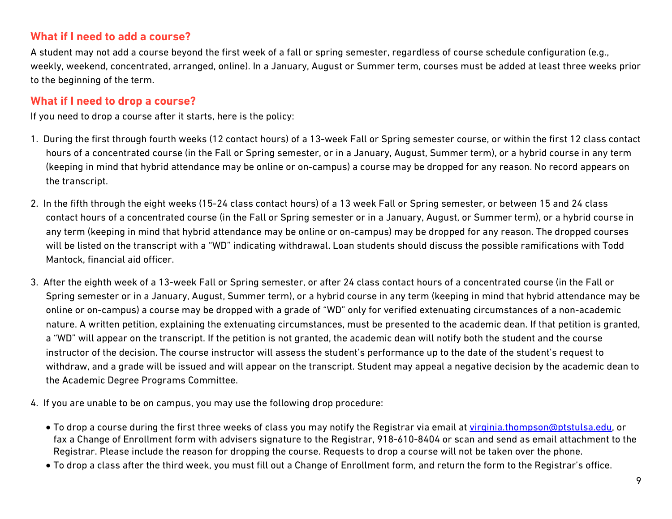## **What if I need to add a course?**

A student may not add a course beyond the first week of a fall or spring semester, regardless of course schedule configuration (e.g., weekly, weekend, concentrated, arranged, online). In a January, August or Summer term, courses must be added at least three weeks prior to the beginning of the term.

## **What if I need to drop a course?**

If you need to drop a course after it starts, here is the policy:

- 1. During the first through fourth weeks (12 contact hours) of a 13-week Fall or Spring semester course, or within the first 12 class contact hours of a concentrated course (in the Fall or Spring semester, or in a January, August, Summer term), or a hybrid course in any term (keeping in mind that hybrid attendance may be online or on-campus) a course may be dropped for any reason. No record appears on the transcript.
- 2. In the fifth through the eight weeks (15-24 class contact hours) of a 13 week Fall or Spring semester, or between 15 and 24 class contact hours of a concentrated course (in the Fall or Spring semester or in a January, August, or Summer term), or a hybrid course in any term (keeping in mind that hybrid attendance may be online or on-campus) may be dropped for any reason. The dropped courses will be listed on the transcript with a "WD" indicating withdrawal. Loan students should discuss the possible ramifications with Todd Mantock, financial aid officer.
- 3. After the eighth week of a 13-week Fall or Spring semester, or after 24 class contact hours of a concentrated course (in the Fall or Spring semester or in a January, August, Summer term), or a hybrid course in any term (keeping in mind that hybrid attendance may be online or on-campus) a course may be dropped with a grade of "WD" only for verified extenuating circumstances of a non-academic nature. A written petition, explaining the extenuating circumstances, must be presented to the academic dean. If that petition is granted, a "WD" will appear on the transcript. If the petition is not granted, the academic dean will notify both the student and the course instructor of the decision. The course instructor will assess the student's performance up to the date of the student's request to withdraw, and a grade will be issued and will appear on the transcript. Student may appeal a negative decision by the academic dean to the Academic Degree Programs Committee.
- 4. If you are unable to be on campus, you may use the following drop procedure:
	- To drop a course during the first three weeks of class you may notify the Registrar via email at [virginia.thompson@ptstulsa.edu,](mailto:virginia.thompson@ptstulsa.edu) or fax a Change of Enrollment form with advisers signature to the Registrar, 918-610-8404 or scan and send as email attachment to the Registrar. Please include the reason for dropping the course. Requests to drop a course will not be taken over the phone.
	- To drop a class after the third week, you must fill out a Change of Enrollment form, and return the form to the Registrar's office.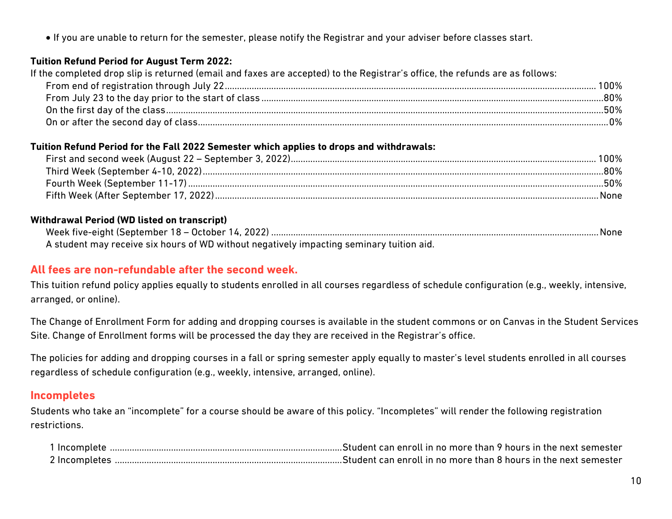• If you are unable to return for the semester, please notify the Registrar and your adviser before classes start.

#### **Tuition Refund Period for August Term 2022:**

If the completed drop slip is returned (email and faxes are accepted) to the Registrar's office, the refunds are as follows:

| 100% |
|------|
| .80% |
| .50% |
| በ%   |

#### **Tuition Refund Period for the Fall 2022 Semester which applies to drops and withdrawals:**

| 80%  |
|------|
| .50% |
| None |

#### **Withdrawal Period (WD listed on transcript)**

| A student may receive six hours of WD without negatively impacting seminary tuition aid. |  |
|------------------------------------------------------------------------------------------|--|

## **All fees are non-refundable after the second week.**

This tuition refund policy applies equally to students enrolled in all courses regardless of schedule configuration (e.g., weekly, intensive, arranged, or online).

The Change of Enrollment Form for adding and dropping courses is available in the student commons or on Canvas in the Student Services Site. Change of Enrollment forms will be processed the day they are received in the Registrar's office.

The policies for adding and dropping courses in a fall or spring semester apply equally to master's level students enrolled in all courses regardless of schedule configuration (e.g., weekly, intensive, arranged, online).

### **Incompletes**

Students who take an "incomplete" for a course should be aware of this policy. "Incompletes" will render the following registration restrictions.

| <sup>1</sup> Incomplete |                                                                 |
|-------------------------|-----------------------------------------------------------------|
| 2 Incompletes           | Student can enroll in no more than 8 hours in the next semester |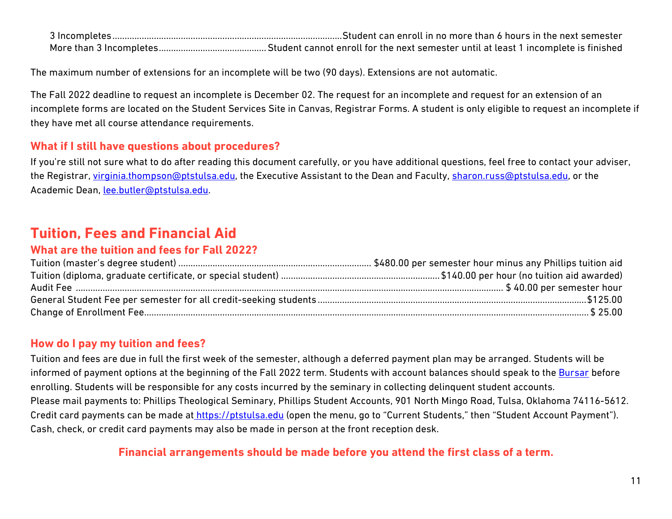| Student can enroll in no more than 6 hours in the next semester |
|-----------------------------------------------------------------|
|                                                                 |

The maximum number of extensions for an incomplete will be two (90 days). Extensions are not automatic.

The Fall 2022 deadline to request an incomplete is December 02. The request for an incomplete and request for an extension of an incomplete forms are located on the Student Services Site in Canvas, Registrar Forms. A student is only eligible to request an incomplete if they have met all course attendance requirements.

## **What if I still have questions about procedures?**

If you're still not sure what to do after reading this document carefully, or you have additional questions, feel free to contact your adviser, the Registrar, [virginia.thompson@ptstulsa.edu,](mailto:virginia.thompson@ptstulsa.edu) the Executive Assistant to the Dean and Faculty, [sharon.russ@ptstulsa.edu,](mailto:sharon.russ@ptstulsa.edu) or the Academic Dean, [lee.butler@ptstulsa.edu.](mailto:lee.butler@ptstulsa.edu)

## **Tuition, Fees and Financial Aid**

## **What are the tuition and fees for Fall 2022?**

## **How do I pay my tuition and fees?**

Tuition and fees are due in full the first week of the semester, although a deferred payment plan may be arranged. Students will be informed of payment options at the beginning of the Fall 2022 term. Students with account balances should speak to the [Bursar](mailto:bursar@ptstulsa.edu) before enrolling. Students will be responsible for any costs incurred by the seminary in collecting delinquent student accounts. Please mail payments to: Phillips Theological Seminary, Phillips Student Accounts, 901 North Mingo Road, Tulsa, Oklahoma 74116-5612. Credit card payments can be made at [https://ptstulsa.edu](https://ptstulsa.edu/) (open the menu, go to "Current Students," then "Student Account Payment"). Cash, check, or credit card payments may also be made in person at the front reception desk.

## **Financial arrangements should be made before you attend the first class of a term.**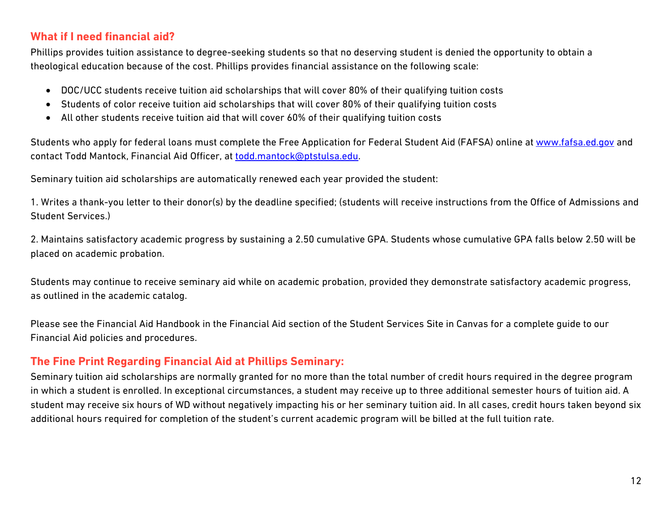### **What if I need financial aid?**

Phillips provides tuition assistance to degree-seeking students so that no deserving student is denied the opportunity to obtain a theological education because of the cost. Phillips provides financial assistance on the following scale:

- DOC/UCC students receive tuition aid scholarships that will cover 80% of their qualifying tuition costs
- Students of color receive tuition aid scholarships that will cover 80% of their qualifying tuition costs
- All other students receive tuition aid that will cover 60% of their qualifying tuition costs

Students who apply for federal loans must complete the Free Application for Federal Student Aid (FAFSA) online at [www.fafsa.ed.gov](http://www.fafsa.ed.gov/) and contact Todd Mantock, Financial Aid Officer, at [todd.mantock@ptstulsa.edu.](mailto:todd.mantock@ptstulsa.edu)

Seminary tuition aid scholarships are automatically renewed each year provided the student:

1. Writes a thank-you letter to their donor(s) by the deadline specified; (students will receive instructions from the Office of Admissions and Student Services.)

2. Maintains satisfactory academic progress by sustaining a 2.50 cumulative GPA. Students whose cumulative GPA falls below 2.50 will be placed on academic probation.

Students may continue to receive seminary aid while on academic probation, provided they demonstrate satisfactory academic progress, as outlined in the academic catalog.

Please see the Financial Aid Handbook in the Financial Aid section of the Student Services Site in Canvas for a complete guide to our Financial Aid policies and procedures.

## **The Fine Print Regarding Financial Aid at Phillips Seminary:**

Seminary tuition aid scholarships are normally granted for no more than the total number of credit hours required in the degree program in which a student is enrolled. In exceptional circumstances, a student may receive up to three additional semester hours of tuition aid. A student may receive six hours of WD without negatively impacting his or her seminary tuition aid. In all cases, credit hours taken beyond six additional hours required for completion of the student's current academic program will be billed at the full tuition rate.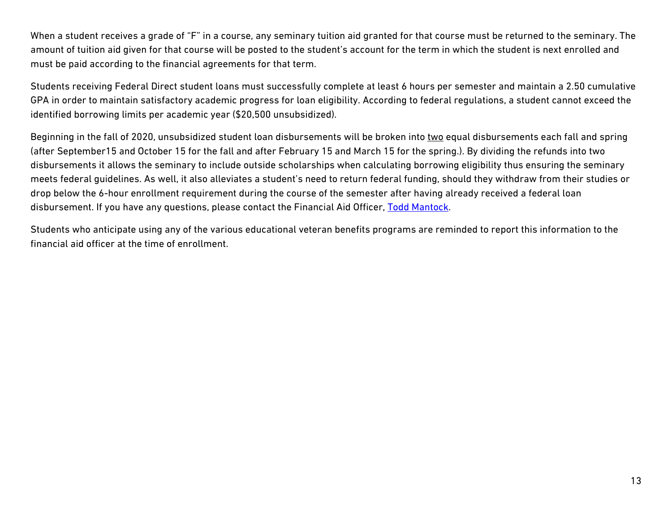When a student receives a grade of "F" in a course, any seminary tuition aid granted for that course must be returned to the seminary. The amount of tuition aid given for that course will be posted to the student's account for the term in which the student is next enrolled and must be paid according to the financial agreements for that term.

Students receiving Federal Direct student loans must successfully complete at least 6 hours per semester and maintain a 2.50 cumulative GPA in order to maintain satisfactory academic progress for loan eligibility. According to federal regulations, a student cannot exceed the identified borrowing limits per academic year (\$20,500 unsubsidized).

Beginning in the fall of 2020, unsubsidized student loan disbursements will be broken into two equal disbursements each fall and spring (after September15 and October 15 for the fall and after February 15 and March 15 for the spring.). By dividing the refunds into two disbursements it allows the seminary to include outside scholarships when calculating borrowing eligibility thus ensuring the seminary meets federal guidelines. As well, it also alleviates a student's need to return federal funding, should they withdraw from their studies or drop below the 6-hour enrollment requirement during the course of the semester after having already received a federal loan disbursement. If you have any questions, please contact the Financial Aid Officer, [Todd Mantock.](mailto:todd.mantock@ptstulsa.edu)

Students who anticipate using any of the various educational veteran benefits programs are reminded to report this information to the financial aid officer at the time of enrollment.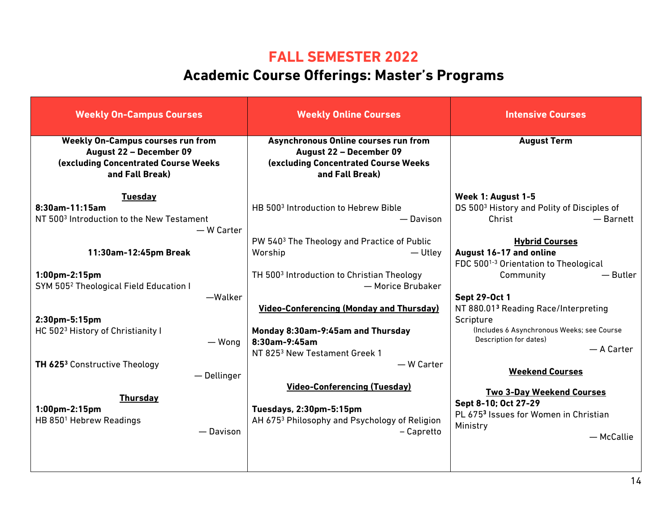## **FALL SEMESTER 2022**

# **Academic Course Offerings: Master's Programs**

| <b>Weekly On-Campus Courses</b>                                                                                                        | <b>Weekly Online Courses</b>                                                                                                       | <b>Intensive Courses</b>                                                                                                       |
|----------------------------------------------------------------------------------------------------------------------------------------|------------------------------------------------------------------------------------------------------------------------------------|--------------------------------------------------------------------------------------------------------------------------------|
| <b>Weekly On-Campus courses run from</b><br>August 22 - December 09<br><b>(excluding Concentrated Course Weeks)</b><br>and Fall Break) | Asynchronous Online courses run from<br>August 22 - December 09<br><b>(excluding Concentrated Course Weeks)</b><br>and Fall Break) | <b>August Term</b>                                                                                                             |
| <b>Tuesday</b><br>8:30am-11:15am<br>NT 500 <sup>3</sup> Introduction to the New Testament<br>- W Carter                                | HB 500 <sup>3</sup> Introduction to Hebrew Bible<br>— Davison<br>PW 540 <sup>3</sup> The Theology and Practice of Public           | Week 1: August 1-5<br>DS 500 <sup>3</sup> History and Polity of Disciples of<br>Christ<br>$-$ Barnett<br><b>Hybrid Courses</b> |
| 11:30am-12:45pm Break                                                                                                                  | Worship<br>— Utley                                                                                                                 | August 16-17 and online<br>FDC 500 <sup>1-3</sup> Orientation to Theological                                                   |
| 1:00pm-2:15pm<br>SYM 505 <sup>2</sup> Theological Field Education I<br>-Walker                                                         | TH 500 <sup>3</sup> Introduction to Christian Theology<br>— Morice Brubaker                                                        | $-$ Butler<br>Community<br><b>Sept 29-Oct 1</b>                                                                                |
| 2:30pm-5:15pm<br>HC 5023 History of Christianity I                                                                                     | <b>Video-Conferencing (Monday and Thursday)</b><br>Monday 8:30am-9:45am and Thursday                                               | NT 880.013 Reading Race/Interpreting<br>Scripture<br>(Includes 6 Asynchronous Weeks; see Course                                |
| — Wong                                                                                                                                 | 8:30am-9:45am<br>NT 825 <sup>3</sup> New Testament Greek 1                                                                         | Description for dates)<br>- A Carter                                                                                           |
| <b>TH 625<sup>3</sup></b> Constructive Theology<br>- Dellinger                                                                         | $-$ W Carter<br><b>Video-Conferencing (Tuesday)</b>                                                                                | <b>Weekend Courses</b><br><b>Two 3-Day Weekend Courses</b>                                                                     |
| <b>Thursday</b><br>1:00pm-2:15pm<br>HB 850 <sup>1</sup> Hebrew Readings<br>- Davison                                                   | Tuesdays, 2:30pm-5:15pm<br>AH 675 <sup>3</sup> Philosophy and Psychology of Religion<br>- Capretto                                 | Sept 8-10; Oct 27-29<br>PL 6753 Issues for Women in Christian<br>Ministry<br>- McCallie                                        |
|                                                                                                                                        |                                                                                                                                    |                                                                                                                                |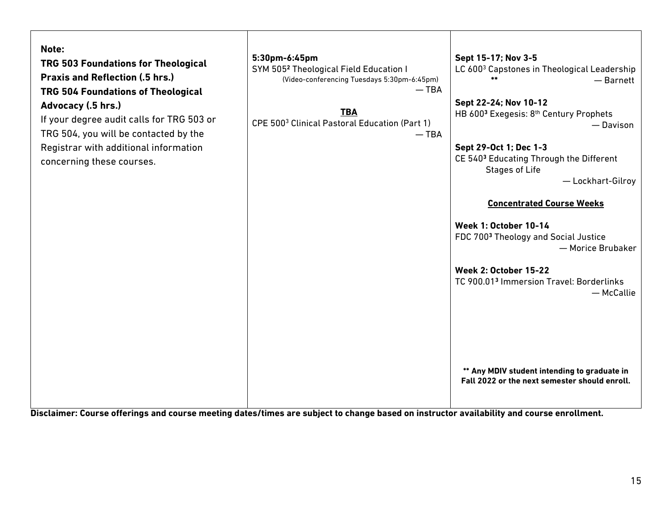| Note:<br>TRG 503 Foundations for Theological<br><b>Praxis and Reflection (.5 hrs.)</b><br><b>TRG 504 Foundations of Theological</b><br>Advocacy (.5 hrs.)<br>If your degree audit calls for TRG 503 or<br>TRG 504, you will be contacted by the<br>Registrar with additional information<br>concerning these courses. | 5:30pm-6:45pm<br>SYM 505 <sup>2</sup> Theological Field Education I<br>(Video-conferencing Tuesdays 5:30pm-6:45pm)<br>$-$ TBA<br><b>TBA</b><br>CPE 500 <sup>3</sup> Clinical Pastoral Education (Part 1)<br>$-$ TBA | Sept 15-17; Nov 3-5<br>LC 600 <sup>3</sup> Capstones in Theological Leadership<br>$-$ Barnett<br>Sept 22-24; Nov 10-12<br>HB 6003 Exegesis: 8th Century Prophets<br>- Davison<br>Sept 29-Oct 1; Dec 1-3<br>CE 5403 Educating Through the Different<br><b>Stages of Life</b><br>- Lockhart-Gilroy<br><b>Concentrated Course Weeks</b><br><b>Week 1: October 10-14</b><br>FDC 700 <sup>3</sup> Theology and Social Justice<br>- Morice Brubaker<br><b>Week 2: October 15-22</b><br>TC 900.013 Immersion Travel: Borderlinks<br>- McCallie |
|-----------------------------------------------------------------------------------------------------------------------------------------------------------------------------------------------------------------------------------------------------------------------------------------------------------------------|---------------------------------------------------------------------------------------------------------------------------------------------------------------------------------------------------------------------|-----------------------------------------------------------------------------------------------------------------------------------------------------------------------------------------------------------------------------------------------------------------------------------------------------------------------------------------------------------------------------------------------------------------------------------------------------------------------------------------------------------------------------------------|
|                                                                                                                                                                                                                                                                                                                       |                                                                                                                                                                                                                     | ** Any MDIV student intending to graduate in<br>Fall 2022 or the next semester should enroll.                                                                                                                                                                                                                                                                                                                                                                                                                                           |

**Disclaimer: Course offerings and course meeting dates/times are subject to change based on instructor availability and course enrollment.**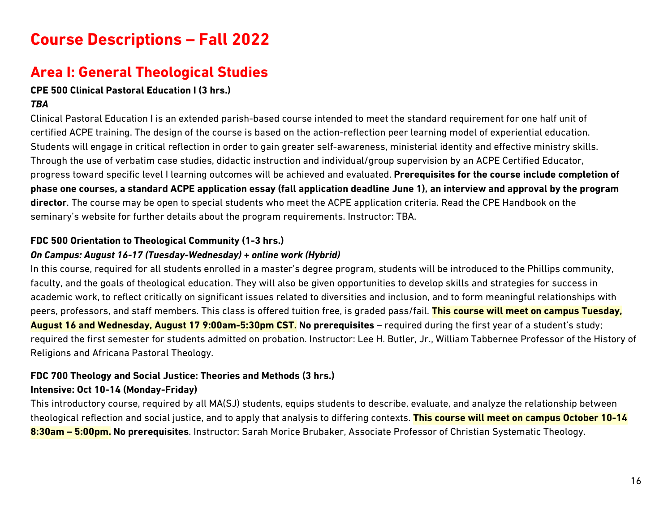# **Course Descriptions – Fall 2022**

## **Area I: General Theological Studies**

### **CPE 500 Clinical Pastoral Education I (3 hrs.)**

## *TBA*

Clinical Pastoral Education I is an extended parish-based course intended to meet the standard requirement for one half unit of certified ACPE training. The design of the course is based on the action-reflection peer learning model of experiential education. Students will engage in critical reflection in order to gain greater self-awareness, ministerial identity and effective ministry skills. Through the use of verbatim case studies, didactic instruction and individual/group supervision by an ACPE Certified Educator, progress toward specific level I learning outcomes will be achieved and evaluated. **Prerequisites for the course include completion of phase one courses, a standard ACPE application essay (fall application deadline June 1), an interview and approval by the program director**. The course may be open to special students who meet the ACPE application criteria. Read the CPE Handbook on the seminary's website for further details about the program requirements. Instructor: TBA.

#### **FDC 500 Orientation to Theological Community (1-3 hrs.)**

#### *On Campus: August 16-17 (Tuesday-Wednesday) + online work (Hybrid)*

In this course, required for all students enrolled in a master's degree program, students will be introduced to the Phillips community, faculty, and the goals of theological education. They will also be given opportunities to develop skills and strategies for success in academic work, to reflect critically on significant issues related to diversities and inclusion, and to form meaningful relationships with peers, professors, and staff members. This class is offered tuition free, is graded pass/fail. **This course will meet on campus Tuesday, August 16 and Wednesday, August 17 9:00am-5:30pm CST. No prerequisites** – required during the first year of a student's study; required the first semester for students admitted on probation. Instructor: Lee H. Butler, Jr., William Tabbernee Professor of the History of Religions and Africana Pastoral Theology.

## **FDC 700 Theology and Social Justice: Theories and Methods (3 hrs.)**

#### **Intensive: Oct 10-14 (Monday-Friday)**

This introductory course, required by all MA(SJ) students, equips students to describe, evaluate, and analyze the relationship between theological reflection and social justice, and to apply that analysis to differing contexts. **This course will meet on campus October 10-14 8:30am – 5:00pm. No prerequisites**. Instructor: Sarah Morice Brubaker, Associate Professor of Christian Systematic Theology.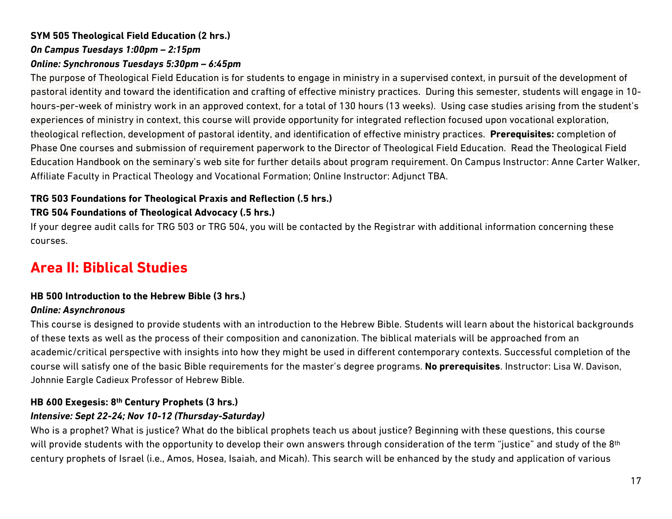## **SYM 505 Theological Field Education (2 hrs.)** *On Campus Tuesdays 1:00pm – 2:15pm Online: Synchronous Tuesdays 5:30pm – 6:45pm*

The purpose of Theological Field Education is for students to engage in ministry in a supervised context, in pursuit of the development of pastoral identity and toward the identification and crafting of effective ministry practices. During this semester, students will engage in 10 hours-per-week of ministry work in an approved context, for a total of 130 hours (13 weeks). Using case studies arising from the student's experiences of ministry in context, this course will provide opportunity for integrated reflection focused upon vocational exploration, theological reflection, development of pastoral identity, and identification of effective ministry practices. **Prerequisites:** completion of Phase One courses and submission of requirement paperwork to the Director of Theological Field Education. Read the Theological Field Education Handbook on the seminary's web site for further details about program requirement. On Campus Instructor: Anne Carter Walker, Affiliate Faculty in Practical Theology and Vocational Formation; Online Instructor: Adjunct TBA.

#### **TRG 503 Foundations for Theological Praxis and Reflection (.5 hrs.)**

#### **TRG 504 Foundations of Theological Advocacy (.5 hrs.)**

If your degree audit calls for TRG 503 or TRG 504, you will be contacted by the Registrar with additional information concerning these courses.

## **Area II: Biblical Studies**

#### **HB 500 Introduction to the Hebrew Bible (3 hrs.)**

#### *Online: Asynchronous*

This course is designed to provide students with an introduction to the Hebrew Bible. Students will learn about the historical backgrounds of these texts as well as the process of their composition and canonization. The biblical materials will be approached from an academic/critical perspective with insights into how they might be used in different contemporary contexts. Successful completion of the course will satisfy one of the basic Bible requirements for the master's degree programs. **No prerequisites**. Instructor: Lisa W. Davison, Johnnie Eargle Cadieux Professor of Hebrew Bible.

#### **HB 600 Exegesis: 8th Century Prophets (3 hrs.)**

#### *Intensive: Sept 22-24; Nov 10-12 (Thursday-Saturday)*

Who is a prophet? What is justice? What do the biblical prophets teach us about justice? Beginning with these questions, this course will provide students with the opportunity to develop their own answers through consideration of the term "justice" and study of the 8<sup>th</sup> century prophets of Israel (i.e., Amos, Hosea, Isaiah, and Micah). This search will be enhanced by the study and application of various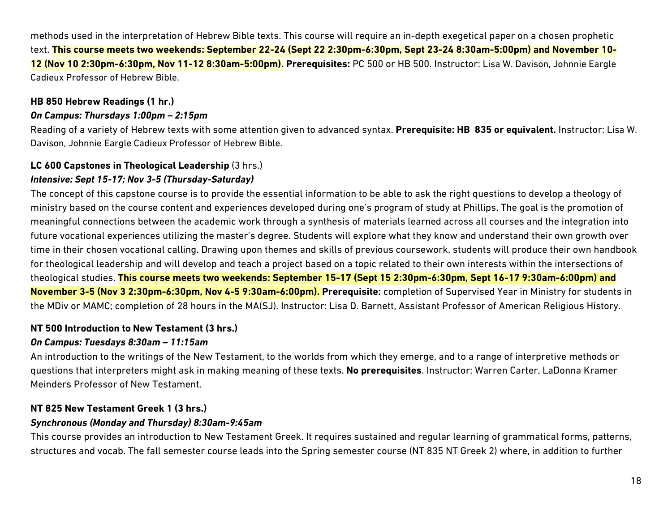methods used in the interpretation of Hebrew Bible texts. This course will require an in-depth exegetical paper on a chosen prophetic text. **This course meets two weekends: September 22-24 (Sept 22 2:30pm-6:30pm, Sept 23-24 8:30am-5:00pm) and November 10- 12 (Nov 10 2:30pm-6:30pm, Nov 11-12 8:30am-5:00pm). Prerequisites:** PC 500 or HB 500. Instructor: Lisa W. Davison, Johnnie Eargle Cadieux Professor of Hebrew Bible.

#### **HB 850 Hebrew Readings (1 hr.)**

#### *On Campus: Thursdays 1:00pm – 2:15pm*

Reading of a variety of Hebrew texts with some attention given to advanced syntax. **Prerequisite: HB 835 or equivalent.** Instructor: Lisa W. Davison, Johnnie Eargle Cadieux Professor of Hebrew Bible.

## **LC 600 Capstones in Theological Leadership** (3 hrs.)

## *Intensive: Sept 15-17; Nov 3-5 (Thursday-Saturday)*

The concept of this capstone course is to provide the essential information to be able to ask the right questions to develop a theology of ministry based on the course content and experiences developed during one's program of study at Phillips. The goal is the promotion of meaningful connections between the academic work through a synthesis of materials learned across all courses and the integration into future vocational experiences utilizing the master's degree. Students will explore what they know and understand their own growth over time in their chosen vocational calling. Drawing upon themes and skills of previous coursework, students will produce their own handbook for theological leadership and will develop and teach a project based on a topic related to their own interests within the intersections of theological studies. **This course meets two weekends: September 15-17 (Sept 15 2:30pm-6:30pm, Sept 16-17 9:30am-6:00pm) and November 3-5 (Nov 3 2:30pm-6:30pm, Nov 4-5 9:30am-6:00pm). Prerequisite:** completion of Supervised Year in Ministry for students in the MDiv or MAMC; completion of 28 hours in the MA(SJ). Instructor: Lisa D. Barnett, Assistant Professor of American Religious History.

### **NT 500 Introduction to New Testament (3 hrs.)**

#### *On Campus: Tuesdays 8:30am – 11:15am*

An introduction to the writings of the New Testament, to the worlds from which they emerge, and to a range of interpretive methods or questions that interpreters might ask in making meaning of these texts. **No prerequisites**. Instructor: Warren Carter, LaDonna Kramer Meinders Professor of New Testament.

### **NT 825 New Testament Greek 1 (3 hrs.)**

#### *Synchronous (Monday and Thursday) 8:30am-9:45am*

This course provides an introduction to New Testament Greek. It requires sustained and regular learning of grammatical forms, patterns, structures and vocab. The fall semester course leads into the Spring semester course (NT 835 NT Greek 2) where, in addition to further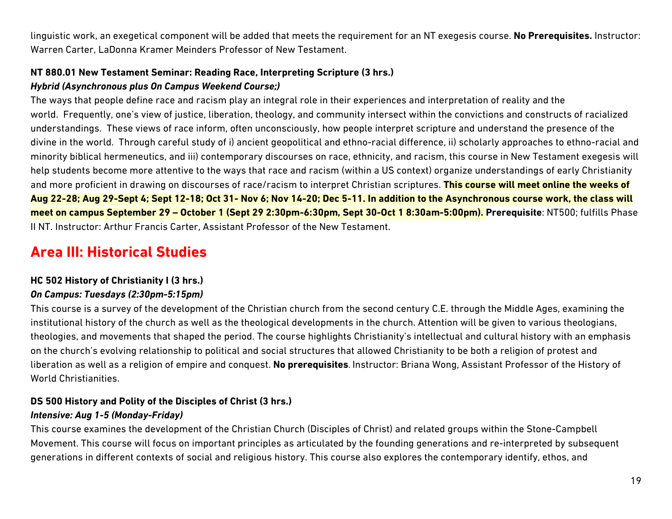linguistic work, an exegetical component will be added that meets the requirement for an NT exegesis course. **No Prerequisites.** Instructor: Warren Carter, LaDonna Kramer Meinders Professor of New Testament.

## **NT 880.01 New Testament Seminar: Reading Race, Interpreting Scripture (3 hrs.)**

## *Hybrid (Asynchronous plus On Campus Weekend Course;)*

The ways that people define race and racism play an integral role in their experiences and interpretation of reality and the world. Frequently, one's view of justice, liberation, theology, and community intersect within the convictions and constructs of racialized understandings. These views of race inform, often unconsciously, how people interpret scripture and understand the presence of the divine in the world. Through careful study of i) ancient geopolitical and ethno-racial difference, ii) scholarly approaches to ethno-racial and minority biblical hermeneutics, and iii) contemporary discourses on race, ethnicity, and racism, this course in New Testament exegesis will help students become more attentive to the ways that race and racism (within a US context) organize understandings of early Christianity and more proficient in drawing on discourses of race/racism to interpret Christian scriptures. **This course will meet online the weeks of Aug 22-28; Aug 29-Sept 4; Sept 12-18; Oct 31- Nov 6; Nov 14-20; Dec 5-11. In addition to the Asynchronous course work, the class will meet on campus September 29 – October 1 (Sept 29 2:30pm-6:30pm, Sept 30-Oct 1 8:30am-5:00pm). Prerequisite**: NT500; fulfills Phase II NT. Instructor: Arthur Francis Carter, Assistant Professor of the New Testament.

# **Area III: Historical Studies**

### **HC 502 History of Christianity I (3 hrs.)**

## *On Campus: Tuesdays (2:30pm-5:15pm)*

This course is a survey of the development of the Christian church from the second century C.E. through the Middle Ages, examining the institutional history of the church as well as the theological developments in the church. Attention will be given to various theologians, theologies, and movements that shaped the period. The course highlights Christianity's intellectual and cultural history with an emphasis on the church's evolving relationship to political and social structures that allowed Christianity to be both a religion of protest and liberation as well as a religion of empire and conquest. **No prerequisites**. Instructor: Briana Wong, Assistant Professor of the History of World Christianities.

### **DS 500 History and Polity of the Disciples of Christ (3 hrs.)**

### *Intensive: Aug 1-5 (Monday-Friday)*

This course examines the development of the Christian Church (Disciples of Christ) and related groups within the Stone-Campbell Movement. This course will focus on important principles as articulated by the founding generations and re-interpreted by subsequent generations in different contexts of social and religious history. This course also explores the contemporary identify, ethos, and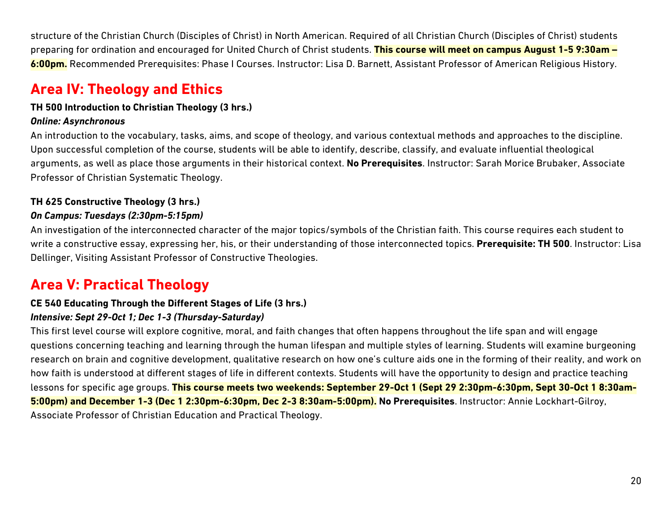structure of the Christian Church (Disciples of Christ) in North American. Required of all Christian Church (Disciples of Christ) students preparing for ordination and encouraged for United Church of Christ students. **This course will meet on campus August 1-5 9:30am – 6:00pm.** Recommended Prerequisites: Phase I Courses. Instructor: Lisa D. Barnett, Assistant Professor of American Religious History.

# **Area IV: Theology and Ethics**

#### **TH 500 Introduction to Christian Theology (3 hrs.)**

#### *Online: Asynchronous*

An introduction to the vocabulary, tasks, aims, and scope of theology, and various contextual methods and approaches to the discipline. Upon successful completion of the course, students will be able to identify, describe, classify, and evaluate influential theological arguments, as well as place those arguments in their historical context. **No Prerequisites**. Instructor: Sarah Morice Brubaker, Associate Professor of Christian Systematic Theology.

### **TH 625 Constructive Theology (3 hrs.)**

#### *On Campus: Tuesdays (2:30pm-5:15pm)*

An investigation of the interconnected character of the major topics/symbols of the Christian faith. This course requires each student to write a constructive essay, expressing her, his, or their understanding of those interconnected topics. **Prerequisite: TH 500**. Instructor: Lisa Dellinger, Visiting Assistant Professor of Constructive Theologies.

# **Area V: Practical Theology**

## **CE 540 Educating Through the Different Stages of Life (3 hrs.)**

#### *Intensive: Sept 29-Oct 1; Dec 1-3 (Thursday-Saturday)*

This first level course will explore cognitive, moral, and faith changes that often happens throughout the life span and will engage questions concerning teaching and learning through the human lifespan and multiple styles of learning. Students will examine burgeoning research on brain and cognitive development, qualitative research on how one's culture aids one in the forming of their reality, and work on how faith is understood at different stages of life in different contexts. Students will have the opportunity to design and practice teaching lessons for specific age groups. **This course meets two weekends: September 29-Oct 1 (Sept 29 2:30pm-6:30pm, Sept 30-Oct 1 8:30am-5:00pm) and December 1-3 (Dec 1 2:30pm-6:30pm, Dec 2-3 8:30am-5:00pm). No Prerequisites**. Instructor: Annie Lockhart-Gilroy, Associate Professor of Christian Education and Practical Theology.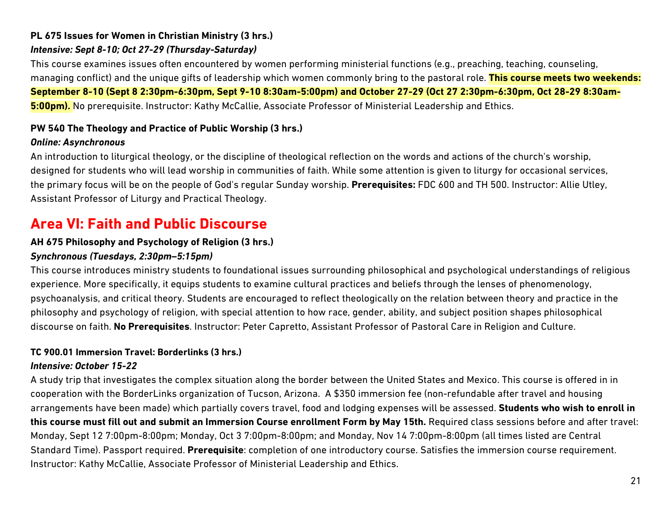## **PL 675 Issues for Women in Christian Ministry (3 hrs.)**

## *Intensive: Sept 8-10; Oct 27-29 (Thursday-Saturday)*

This course examines issues often encountered by women performing ministerial functions (e.g., preaching, teaching, counseling, managing conflict) and the unique gifts of leadership which women commonly bring to the pastoral role. **This course meets two weekends: September 8-10 (Sept 8 2:30pm-6:30pm, Sept 9-10 8:30am-5:00pm) and October 27-29 (Oct 27 2:30pm-6:30pm, Oct 28-29 8:30am-5:00pm).** No prerequisite. Instructor: Kathy McCallie, Associate Professor of Ministerial Leadership and Ethics.

#### **PW 540 The Theology and Practice of Public Worship (3 hrs.)**

#### *Online: Asynchronous*

An introduction to liturgical theology, or the discipline of theological reflection on the words and actions of the church's worship, designed for students who will lead worship in communities of faith. While some attention is given to liturgy for occasional services, the primary focus will be on the people of God's regular Sunday worship. **Prerequisites:** FDC 600 and TH 500. Instructor: Allie Utley, Assistant Professor of Liturgy and Practical Theology.

## **Area VI: Faith and Public Discourse**

#### **AH 675 Philosophy and Psychology of Religion (3 hrs.)**

#### *Synchronous (Tuesdays, 2:30pm–5:15pm)*

This course introduces ministry students to foundational issues surrounding philosophical and psychological understandings of religious experience. More specifically, it equips students to examine cultural practices and beliefs through the lenses of phenomenology, psychoanalysis, and critical theory. Students are encouraged to reflect theologically on the relation between theory and practice in the philosophy and psychology of religion, with special attention to how race, gender, ability, and subject position shapes philosophical discourse on faith. **No Prerequisites**. Instructor: Peter Capretto, Assistant Professor of Pastoral Care in Religion and Culture.

#### **TC 900.01 Immersion Travel: Borderlinks (3 hrs.)**

#### *Intensive: October 15-22*

A study trip that investigates the complex situation along the border between the United States and Mexico. This course is offered in in cooperation with the BorderLinks organization of Tucson, Arizona. A \$350 immersion fee (non-refundable after travel and housing arrangements have been made) which partially covers travel, food and lodging expenses will be assessed. **Students who wish to enroll in this course must fill out and submit an Immersion Course enrollment Form by May 15th.** Required class sessions before and after travel: Monday, Sept 12 7:00pm-8:00pm; Monday, Oct 3 7:00pm-8:00pm; and Monday, Nov 14 7:00pm-8:00pm (all times listed are Central Standard Time). Passport required. **Prerequisite**: completion of one introductory course. Satisfies the immersion course requirement. Instructor: Kathy McCallie, Associate Professor of Ministerial Leadership and Ethics.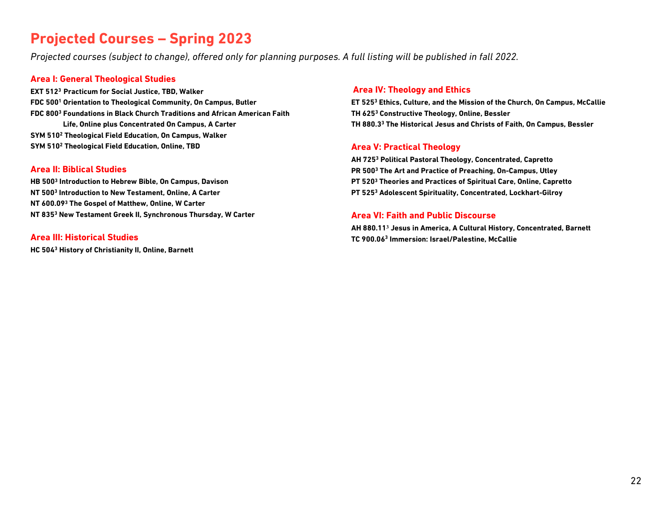## **Projected Courses – Spring 2023**

*Projected courses (subject to change), offered only for planning purposes. A full listing will be published in fall 2022.*

#### **Area I: General Theological Studies**

**EXT 5123 Practicum for Social Justice, TBD, Walker FDC 5001 Orientation to Theological Community, On Campus, Butler FDC 8003 Foundations in Black Church Traditions and African American Faith Life, Online plus Concentrated On Campus, A Carter SYM 5102 Theological Field Education, On Campus, Walker SYM 5102 Theological Field Education, Online, TBD**

#### **Area II: Biblical Studies**

**HB 5003 Introduction to Hebrew Bible, On Campus, Davison NT 5003 Introduction to New Testament, Online, A Carter NT 600.093 The Gospel of Matthew, Online, W Carter NT 8353 New Testament Greek II, Synchronous Thursday, W Carter**

#### **Area III: Historical Studies**

**HC 5043 History of Christianity II, Online, Barnett**

#### **Area IV: Theology and Ethics**

**ET 5253 Ethics, Culture, and the Mission of the Church, On Campus, McCallie TH 6253 Constructive Theology, Online, Bessler TH 880.33 The Historical Jesus and Christs of Faith, On Campus, Bessler**

#### **Area V: Practical Theology**

**AH 7253 Political Pastoral Theology, Concentrated, Capretto PR 5003 The Art and Practice of Preaching, On-Campus, Utley PT 5203 Theories and Practices of Spiritual Care, Online, Capretto PT 5253 Adolescent Spirituality, Concentrated, Lockhart-Gilroy**

#### **Area VI: Faith and Public Discourse**

**AH 880.11<sup>3</sup> Jesus in America, A Cultural History, Concentrated, Barnett TC 900.063 Immersion: Israel/Palestine, McCallie**